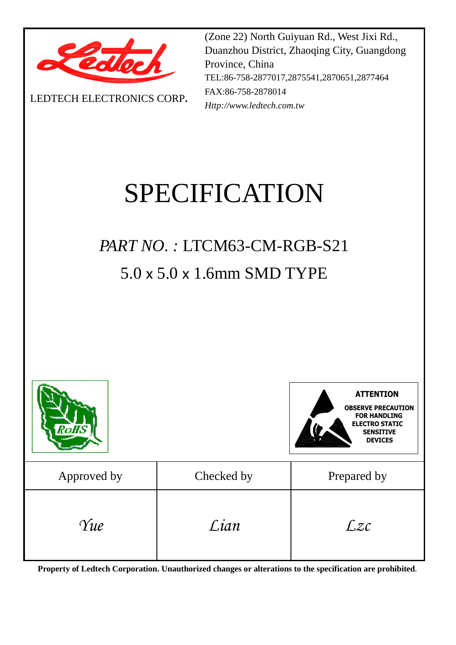

LEDTECH ELECTRONICS CORP**.**

(Zone 22) North Guiyuan Rd., West Jixi Rd., Duanzhou District, Zhaoqing City, Guangdong Province, China TEL:86-758-2877017,2875541,2870651,2877464 FAX:86-758-2878014 *Http://www.ledtech.com.tw*

# SPECIFICATION

## *PART NO. :* LTCM63-CM-RGB-S21 5.0 x 5.0 x 1.6mm SMD TYPE



**OBSERVE PRECAUTION FOR HANDLING ETRO STATIC SENSITIVE DEVICES ATTENTION**

| Approved by | Checked by | Prepared by |
|-------------|------------|-------------|
| Yue         | Lian       | Lzc         |

**Property of Ledtech Corporation. Unauthorized changes or alterations to the specification are prohibited***.*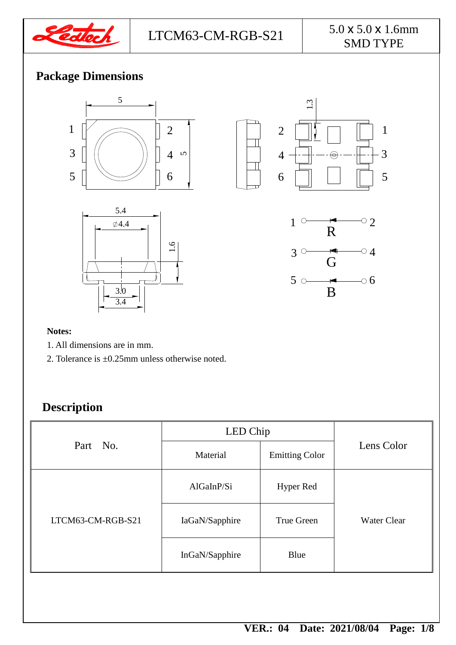

## SMD TYPE

5

3

1

## **Package Dimensions**









#### **Notes:**

- 1. All dimensions are in mm.
- 2. Tolerance is ±0.25mm unless otherwise noted.

### **Description**

| Part No.          | LED Chip       |                       |                    |
|-------------------|----------------|-----------------------|--------------------|
|                   | Material       | <b>Emitting Color</b> | Lens Color         |
|                   | AlGalnP/Si     | <b>Hyper Red</b>      |                    |
| LTCM63-CM-RGB-S21 | IaGaN/Sapphire | True Green            | <b>Water Clear</b> |
|                   | InGaN/Sapphire | Blue                  |                    |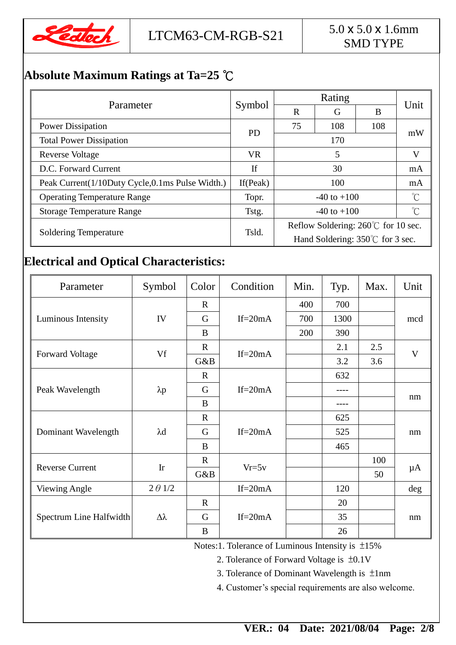

## SMD TYPE

## **Absolute Maximum Ratings at Ta=25** ℃

|                                                 |             | Rating                             |     |     |      |  |
|-------------------------------------------------|-------------|------------------------------------|-----|-----|------|--|
| Parameter                                       | Symbol      | $\mathbf R$                        | G   | B   | Unit |  |
| <b>Power Dissipation</b>                        | <b>PD</b>   | 75                                 | 108 | 108 | mW   |  |
| <b>Total Power Dissipation</b>                  |             | 170                                |     |     |      |  |
| <b>Reverse Voltage</b>                          | <b>VR</b>   | 5                                  |     |     | V    |  |
| D.C. Forward Current                            | If          | 30                                 |     |     | mA   |  |
| Peak Current(1/10Duty Cycle,0.1ms Pulse Width.) | If $(Peak)$ | 100                                |     | mA  |      |  |
| <b>Operating Temperature Range</b>              | Topr.       | $-40$ to $+100$                    |     | °C  |      |  |
| <b>Storage Temperature Range</b>                | Tstg.       | $-40$ to $+100$                    |     |     | °C   |  |
|                                                 | Tsld.       | Reflow Soldering: 260℃ for 10 sec. |     |     |      |  |
| <b>Soldering Temperature</b>                    |             | Hand Soldering: 350°C for 3 sec.   |     |     |      |  |

### **Electrical and Optical Characteristics:**

| Parameter               | Symbol         | Color       | Condition   | Min. | Typ. | Max. | Unit    |
|-------------------------|----------------|-------------|-------------|------|------|------|---------|
|                         |                | $\mathbf R$ |             | 400  | 700  |      |         |
| Luminous Intensity      | IV             | G           | $If = 20mA$ | 700  | 1300 |      | mcd     |
|                         |                | B           |             | 200  | 390  |      |         |
|                         | Vf             | $\mathbf R$ | $If = 20mA$ |      | 2.1  | 2.5  | V       |
| <b>Forward Voltage</b>  |                | G&B         |             |      | 3.2  | 3.6  |         |
| Peak Wavelength         |                | $\mathbf R$ | If= $20mA$  |      | 632  |      |         |
|                         | $\lambda p$    | G           |             |      |      |      | nm      |
|                         |                | B           |             |      |      |      |         |
| Dominant Wavelength     | $\lambda$ d    | $\mathbf R$ | If= $20mA$  |      | 625  |      | nm      |
|                         |                | G           |             |      | 525  |      |         |
|                         |                | B           |             |      | 465  |      |         |
| <b>Reverse Current</b>  | Ir             | $\mathbf R$ | $Vr=5v$     |      |      | 100  |         |
|                         |                | G&B         |             |      |      | 50   | $\mu A$ |
| <b>Viewing Angle</b>    | $2 \theta$ 1/2 |             | If= $20mA$  |      | 120  |      | deg     |
| Spectrum Line Halfwidth | Δλ             | $\mathbf R$ | If= $20mA$  |      | 20   |      | nm      |
|                         |                | G           |             |      | 35   |      |         |
|                         |                | B           |             |      | 26   |      |         |

Notes:1. Tolerance of Luminous Intensity is ±15%

2. Tolerance of Forward Voltage is ±0.1V

3. Tolerance of Dominant Wavelength is ±1nm

4. Customer's special requirements are also welcome.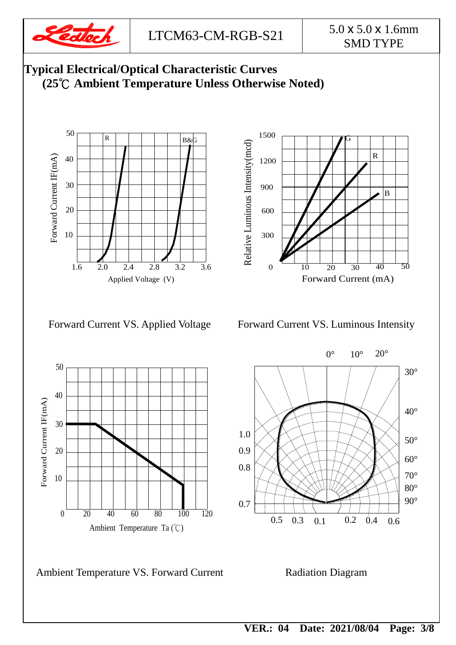

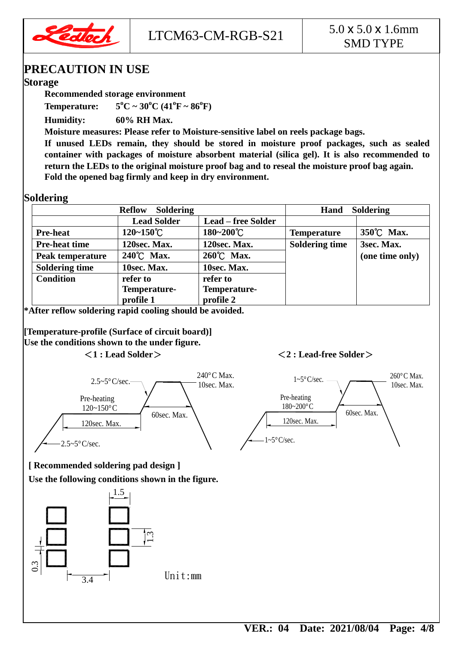

### **PRECAUTION IN USE**

#### **Storage**

**Recommended storage environment**

**Temperature: 5**  ${}^{0}C \sim 30 {}^{0}C (41 {}^{0}F \sim 86 {}^{0}F)$ 

**Humidity: 60% RH Max.**

**Moisture measures: Please refer to Moisture-sensitive label on reels package bags.**

**If unused LEDs remain, they should be stored in moisture proof packages, such as sealed container with packages of moisture absorbent material (silica gel). It is also recommended to return the LEDs to the original moisture proof bag and to reseal the moisture proof bag again. Fold the opened bag firmly and keep in dry environment.**

#### **Soldering**

| <b>Soldering</b><br><b>Reflow</b> |                       |                           | <b>Soldering</b><br>Hand |                 |  |
|-----------------------------------|-----------------------|---------------------------|--------------------------|-----------------|--|
|                                   | <b>Lead Solder</b>    | <b>Lead – free Solder</b> |                          |                 |  |
| <b>Pre-heat</b>                   | $120 - 150^{\circ}$ C | 180~200°C                 | <b>Temperature</b>       | 350°C Max.      |  |
| <b>Pre-heat time</b>              | 120sec. Max.          | 120sec. Max.              | <b>Soldering time</b>    | 3sec. Max.      |  |
| Peak temperature                  | 240°C Max.            | 260°C Max.                |                          | (one time only) |  |
| <b>Soldering time</b>             | 10sec. Max.           | 10sec. Max.               |                          |                 |  |
| <b>Condition</b>                  | refer to              | refer to                  |                          |                 |  |
|                                   | Temperature-          | Temperature-              |                          |                 |  |
|                                   | profile 1             | profile 2                 |                          |                 |  |

**\*After reflow soldering rapid cooling should be avoided.**

**[Temperature-profile (Surface of circuit board)] Use the conditions shown to the under figure.**

#### <**1 : Lead Solder**><**2 : Lead-free Solder**>



**[ Recommended soldering pad design ]**

**Use the following conditions shown in the figure.**

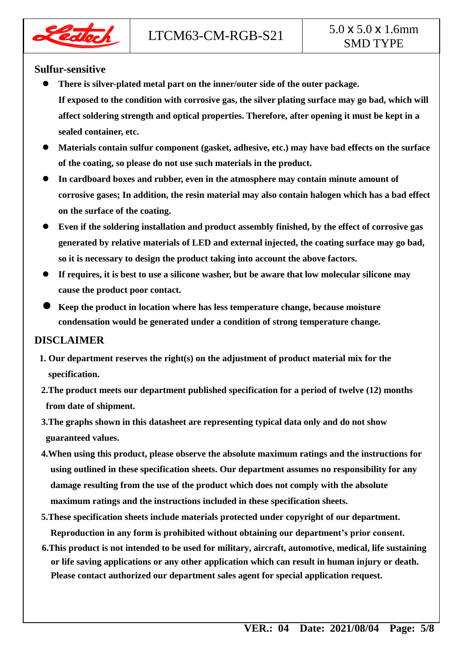

#### **Sulfur-sensitive**

dloch

- **There is silver-plated metal part on the inner/outer side of the outer package. If exposed to the condition with corrosive gas, the silver plating surface may go bad, which will affect soldering strength and optical properties. Therefore, after opening it must be kept in a sealed container, etc.**
- **Materials contain sulfur component (gasket, adhesive, etc.) may have bad effects on the surface of the coating, so please do not use such materials in the product.**
- **In cardboard boxes and rubber, even in the atmosphere may contain minute amount of corrosive gases; In addition, the resin material may also contain halogen which has a bad effect on the surface of the coating.**
- **Even if the soldering installation and product assembly finished, by the effect of corrosive gas generated by relative materials of LED and external injected, the coating surface may go bad, so it is necessary to design the product taking into account the above factors.**
- **If requires, it is best to use a silicone washer, but be aware that low molecular silicone may cause the product poor contact.**
- **Keep the product in location where has less temperature change, because moisture condensation would be generated under a condition of strong temperature change.**

#### **DISCLAIMER**

- **1. Our department reserves the right(s) on the adjustment of product material mix for the specification.**
- **2.The product meets our department published specification for a period of twelve (12) months from date of shipment.**
- **3.The graphs shown in this datasheet are representing typical data only and do not show guaranteed values.**
- **4.When using this product, please observe the absolute maximum ratings and the instructions for using outlined in these specification sheets. Our department assumes no responsibility for any damage resulting from the use of the product which does not comply with the absolute maximum ratings and the instructions included in these specification sheets.**
- **5.These specification sheets include materials protected under copyright of our department. Reproduction in any form is prohibited without obtaining our department's prior consent.**
- **6.This product is not intended to be used for military, aircraft, automotive, medical, life sustaining or life saving applications or any other application which can result in human injury or death. Please contact authorized our department sales agent for special application request.**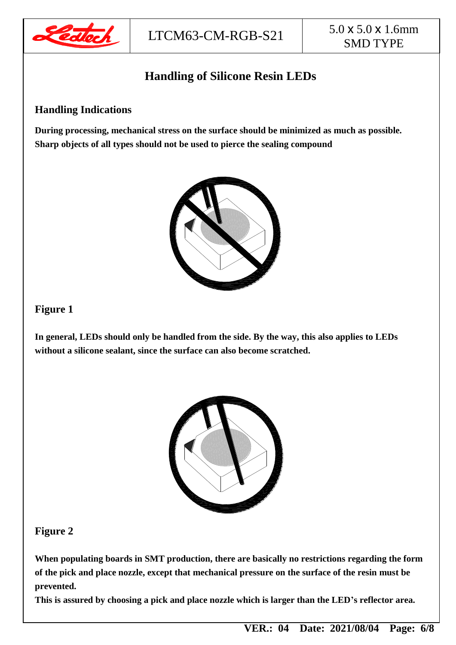

## **Handling of Silicone Resin LEDs**

#### **Handling Indications**

**During processing, mechanical stress on the surface should be minimized as much as possible. Sharp objects of all types should not be used to pierce the sealing compound**



#### **Figure 1**

**In general, LEDs should only be handled from the side. By the way, this also applies to LEDs without a silicone sealant, since the surface can also become scratched.**



#### **Figure 2**

**When populating boards in SMT production, there are basically no restrictions regarding the form of the pick and place nozzle, except that mechanical pressure on the surface of the resin must be prevented.**

**This is assured by choosing a pick and place nozzle which is larger than the LED's reflector area.**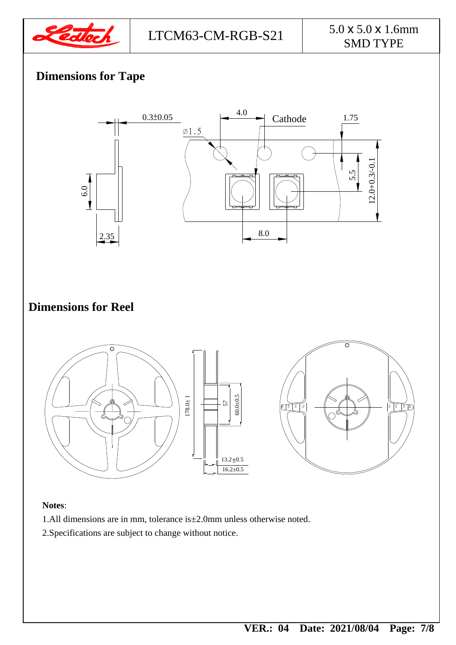

## **Dimensions for Tape**



#### **Notes**:

- 1.All dimensions are in mm, tolerance is±2.0mm unless otherwise noted.
- 2.Specifications are subject to change without notice.